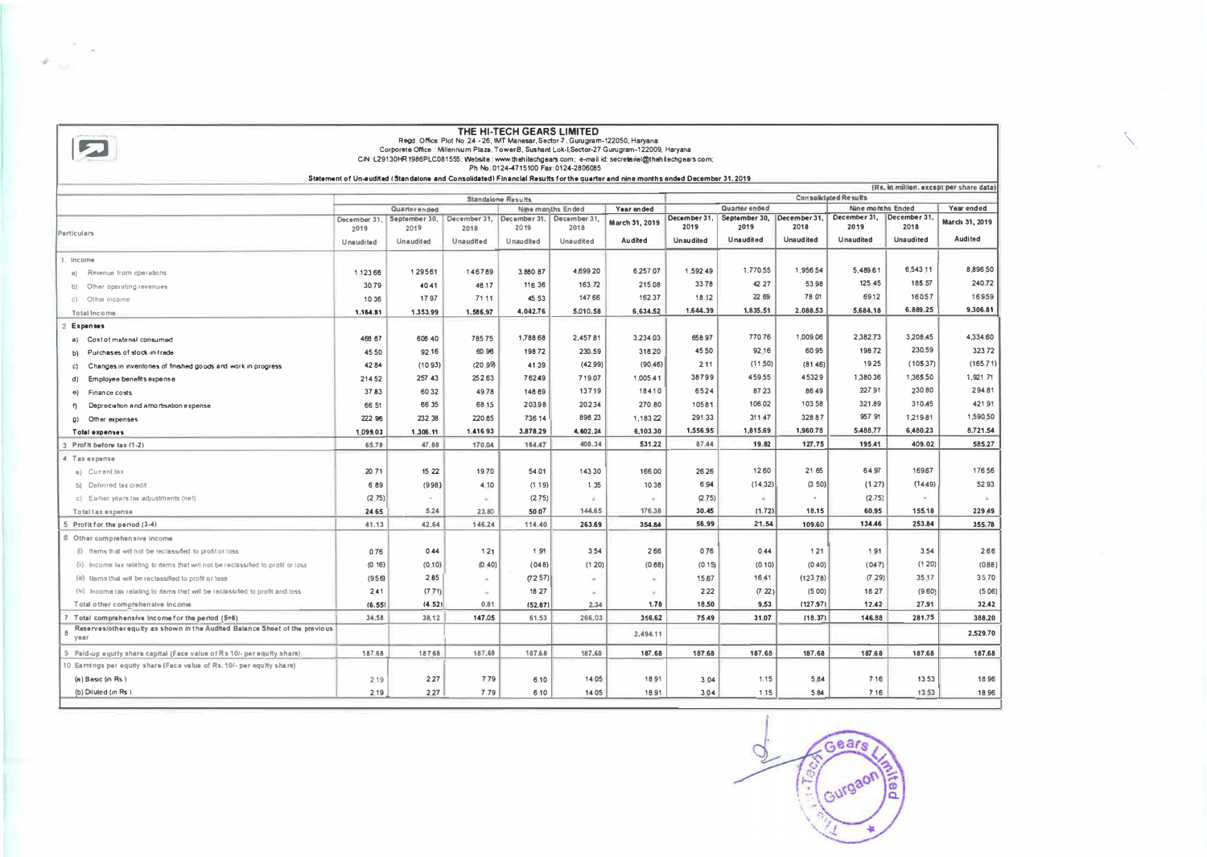| THE HI-TECH GEARS LIMITED<br>Regd Office: Plot No 24 - 26, IMT Manesar, Sector-7, Gurugram-122050, Haryana<br>Corporate Office : Millennium Plaza, TowerB, Sushant Lok-I, Sector-27 Gurugram-122009, Haryana<br>CIN L29130HR1986PLC081555; Website: www.thehitechgears.com; e-mail id: secretariel@thehitechgears.com;<br>Ph No. 0124-4715100 Fax: 0124-2806085<br>Statement of Un-audited (Standalone and Consolidated) Financial Results for the quarter and nine months ended December 31, 2019 |                      |                       |                           |                  |                             |                |              |                                             |                  |                                                       |                  |                |
|----------------------------------------------------------------------------------------------------------------------------------------------------------------------------------------------------------------------------------------------------------------------------------------------------------------------------------------------------------------------------------------------------------------------------------------------------------------------------------------------------|----------------------|-----------------------|---------------------------|------------------|-----------------------------|----------------|--------------|---------------------------------------------|------------------|-------------------------------------------------------|------------------|----------------|
| (Rs, in million, except per share data)                                                                                                                                                                                                                                                                                                                                                                                                                                                            |                      |                       |                           |                  |                             |                |              |                                             |                  |                                                       |                  |                |
|                                                                                                                                                                                                                                                                                                                                                                                                                                                                                                    | Standalone Results   |                       |                           |                  | <b>Consolidated Results</b> |                |              |                                             |                  |                                                       |                  |                |
|                                                                                                                                                                                                                                                                                                                                                                                                                                                                                                    |                      | Quarter ended         | December 31, December 31, |                  | Nine months Ended           | Year ended     | December 31. | Quarter ended<br>September 30, December 31, |                  | <b>Nine months Ended</b><br>December 31. December 31, |                  | Year ended     |
|                                                                                                                                                                                                                                                                                                                                                                                                                                                                                                    | December 31,<br>2019 | September 30,<br>2019 | 2018                      | 2019             | December 31,<br>2018        | March 31, 2019 | 2019         | 2019                                        | 2018             | 2019                                                  | 2018             | March 31, 2019 |
| Particulars                                                                                                                                                                                                                                                                                                                                                                                                                                                                                        | Unaudited            | <b>Unaudited</b>      | Unaudited                 | <b>Unaudited</b> | Unaudited                   | Audited        | Unaudited    | Unaudited                                   | <b>Unaudited</b> | <b>Unaudited</b>                                      | <b>Unaudited</b> | <b>Audited</b> |
| 1 Income                                                                                                                                                                                                                                                                                                                                                                                                                                                                                           |                      |                       |                           |                  |                             |                |              |                                             |                  |                                                       |                  |                |
| Revenue from operations<br>n)                                                                                                                                                                                                                                                                                                                                                                                                                                                                      | 1 123 66             | 129561                | 146769                    | 3.880.87         | 4,699 20                    | 6,257 07       | 1,592.49     | 1,770.55                                    | 1,956.54         | 5.489.61                                              | 6,543.11         | 8,896 50       |
| b) Other operating revenues                                                                                                                                                                                                                                                                                                                                                                                                                                                                        | 3079                 | 40 41                 | 46 17                     | 116 36           | 16372                       | 215 08         | 3378         | 42 27                                       | 53 98            | 125.45                                                | 185 57           | 24072          |
| c) Other income                                                                                                                                                                                                                                                                                                                                                                                                                                                                                    | 10 36                | 1797                  | 71 11                     | 45 53            | 147 66                      | 162 37         | 18.12        | 22 69                                       | 78 01            | 6912                                                  | 16057            | 16959          |
| Total Income                                                                                                                                                                                                                                                                                                                                                                                                                                                                                       | 1,184.81             | 1.353.99              | 1.586,97                  | 4.042.76         | 5.010.58                    | 6,634.52       | 1.644,39     | 1,835.51                                    | 2.088.53         | 5,684.18                                              | 6.889.25         | 9.306.81       |
| 2 Expenses                                                                                                                                                                                                                                                                                                                                                                                                                                                                                         |                      |                       |                           |                  |                             |                |              |                                             |                  |                                                       |                  |                |
| Cost of material consumed<br>n)                                                                                                                                                                                                                                                                                                                                                                                                                                                                    | 466 67               | 608 40                | 78575                     | 1,788 68         | 2,457.81                    | 3,234 03       | 658 97       | 770.76                                      | 1,009.06         | 2.382.73                                              | 3.208.45         | 4,334 60       |
| Purchases of stock-in-trade<br>P)                                                                                                                                                                                                                                                                                                                                                                                                                                                                  | 45 50                | 92 16                 | 60 96                     | 198 72           | 230 59                      | 316 20         | 45.50        | 92 16                                       | 6095             | 198 72                                                | 230.59           | 32372          |
| Changes in inventones of finished goods and work in progress<br>C)                                                                                                                                                                                                                                                                                                                                                                                                                                 | 4284                 | (1093)                | (2099)                    | 41 39            | (4299)                      | (90, 46)       | 2.11         | (11.50)                                     | (8146)           | 1925                                                  | (10537)          | (165 71)       |
| Employee benefits expense<br>d)                                                                                                                                                                                                                                                                                                                                                                                                                                                                    | 214 52               | 257 43                | 252 63                    | 76249            | 71907                       | 1,005.41       | 38799        | 45955                                       | 45329            | 1,380.36                                              | 1,365.50         | 1.921.71       |
| Finance costs<br>$\Theta$                                                                                                                                                                                                                                                                                                                                                                                                                                                                          | 3783                 | 6032                  | 4978                      | 146 69           | 13719                       | 18410          | 6524         | 87.23                                       | 8649             | 227 91                                                | 230.80           | 294.81         |
| Depreciation and amortisation expense                                                                                                                                                                                                                                                                                                                                                                                                                                                              | 6651                 | 66 35                 | 68 15                     | 20398            | 20234                       | 270 80         | 10581        | 106 02                                      | 103 58           | 321.89                                                | 310.45           | 421.91         |
| Other expenses<br>$\Omega$                                                                                                                                                                                                                                                                                                                                                                                                                                                                         | 222 96               | 232 38                | 220 85                    | 736.14           | 896 23                      | 1,183 22       | 291 33       | 311.47                                      | 328.87           | 957 91                                                | 1,219.81         | 1,590.50       |
| <b>Total expenses</b>                                                                                                                                                                                                                                                                                                                                                                                                                                                                              | 1.099.03             | 1.306.11              | 1.416.93                  | 3,878.29         | 4,602.24                    | 6,103.30       | 1,556.95     | 1,815.69                                    | 1,960.78         | 5,488.77                                              | 6,480.23         | 8.721.54       |
| 3 Profit before tax (1-2)                                                                                                                                                                                                                                                                                                                                                                                                                                                                          | 65,78                | 47.88                 | 170.04                    | 164.47           | 408.34                      | 531.22         | 87.44        | 19.82                                       | 127.75           | 195.41                                                | 409.02           | 585.27         |
| 4 Tax expense                                                                                                                                                                                                                                                                                                                                                                                                                                                                                      |                      |                       |                           |                  |                             |                |              |                                             |                  |                                                       |                  |                |
| a) Currentiax                                                                                                                                                                                                                                                                                                                                                                                                                                                                                      | 2071                 | 15 22                 | 19.70                     | 54 01            | 143 30                      | 166.00         | 26 26        | 12.60                                       | 21.65            | 64.97                                                 | 169.67           | 176.56         |
| b) Deferred tax credit                                                                                                                                                                                                                                                                                                                                                                                                                                                                             | 6 69                 | (998)                 | 4.10                      | (119)            | 1 3 5                       | 10.36          | 694          | (14.32)                                     | (3.50)           | (127)                                                 | (14.49)          | 5293           |
| c) Earlier years tax adjustments (net)                                                                                                                                                                                                                                                                                                                                                                                                                                                             | (2.75)               |                       | w.                        | (275)            | $\lambda$                   | $\sim$         | (2.75)       | $\rightarrow$                               | $\circ$          | (2.75)                                                | $\bullet$        | $\sim$         |
| Total tax expense                                                                                                                                                                                                                                                                                                                                                                                                                                                                                  | 24.65                | 5.24                  | 23.80                     | 50.07            | 144,65                      | 176.38         | 30,45        | (1.72)                                      | 18.15            | 60.95                                                 | 155.18           | 229.49         |
| 5 Profit for the period (3-4)                                                                                                                                                                                                                                                                                                                                                                                                                                                                      | 41.13                | 42.64                 | 146.24                    | 114,40           | 263.69                      | 354.84         | 56.99        | 21.54                                       | 109.60           | 134.46                                                | 253.84           | 355.78         |
| 6 Other comprehensive income                                                                                                                                                                                                                                                                                                                                                                                                                                                                       |                      |                       |                           |                  |                             |                |              |                                             |                  |                                                       |                  |                |
| (i) Items that will not be reclassified to profit or loss                                                                                                                                                                                                                                                                                                                                                                                                                                          | 076                  | 044                   | 121                       | 1.91             | 3 5 4                       | 2.66           | 0.76         | 0.44                                        | 121              | 191                                                   | 3.54             | 266            |
| (ii) Income lax relating to dems that will not be reclassified to profit or loss                                                                                                                                                                                                                                                                                                                                                                                                                   | (0.16)               | (0.10)                | (0.40)                    | (048)            | (1 20)                      | (0.66)         | (0.15)       | (0.10)                                      | (0.40)           | (047)                                                 | (1, 20)          | (088)          |
| (iii) Illems that will be reclassified to profit or loss                                                                                                                                                                                                                                                                                                                                                                                                                                           | (956)                | 2.85                  | $\sim$                    | (72.57)          | $\sim$                      | $\sim$         | 15.67        | 1641                                        | (123.78)         | (7.29)                                                | 35.17            | 3570           |
| (iv) Income tax relating to items that will be reclassified to profit and loss                                                                                                                                                                                                                                                                                                                                                                                                                     | 2.41                 | (771)                 | $\overline{\phantom{a}}$  | 18 27            | ٠                           | a.             | 2 2 2        | (7 22)                                      | (5.00)           | 18 27                                                 | (9.60)           | (506)          |
| Total other comprehensive income                                                                                                                                                                                                                                                                                                                                                                                                                                                                   | (6.55)               | (4.52)                | 0.81                      | (52.87)          | 2.34                        | 1.78           | 18.50        | 9.53                                        | (127.97)         | 12.42                                                 | 27.91            | 32.42          |
| 7 Total comprehensive income for the period (5+6)                                                                                                                                                                                                                                                                                                                                                                                                                                                  | 34.58                | 38.12                 | 147.05                    | 61.53            | 266.03                      | 356.62         | 75.49        | 31.07                                       | (18.37)          | 146.88                                                | 281.75           | 388.20         |
| Reserves/other equity as shown in the Audited Balance Sheet of the previous<br>8<br>year                                                                                                                                                                                                                                                                                                                                                                                                           |                      |                       |                           |                  |                             | 2,494.11       |              |                                             |                  |                                                       |                  | 2,529.70       |
| 9 Paid-up equity share capital (Face value of Rs 10/- per equity share)                                                                                                                                                                                                                                                                                                                                                                                                                            | 187.68               | 187.68                | 187.68                    | 187.68           | 187.68                      | 187.68         | 187,68       | 187,68                                      | 187.68           | 187.68                                                | 187.68           | 187.68         |
| 10 Earnings per equity share (Face value of Rs. 10/- per equity share)                                                                                                                                                                                                                                                                                                                                                                                                                             |                      |                       |                           |                  |                             |                |              |                                             |                  |                                                       |                  |                |
| (a) Basic (in Rs)                                                                                                                                                                                                                                                                                                                                                                                                                                                                                  | 2 1 9                | 227                   | 779                       | 6 10             | 14 05                       | 18 91          | 3.04         | 1.15                                        | 584              | 7.16                                                  | 13.53            | 1896           |
| (b) Diluted (in Rs)                                                                                                                                                                                                                                                                                                                                                                                                                                                                                | 2 1 9                | 2.27                  | 779                       | 6.10             | 14.05                       | 18 91          | 3.04         | 1.15                                        | 5.84             | 7.16                                                  | 13.53            | 1896           |

 $\mathbb{A}_{\geq 0}$ 

Cears Gurgaon a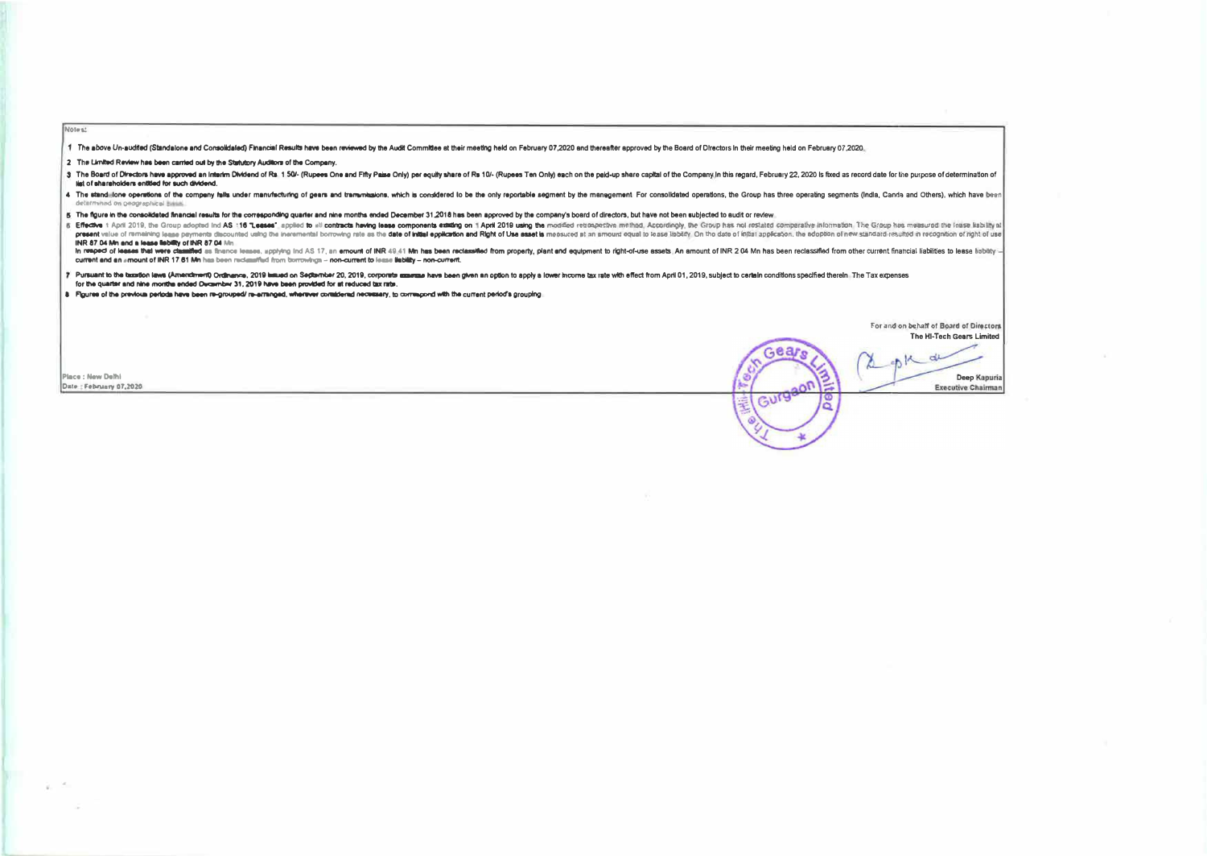1 The above Un-audited (Standalone and Consolidated) Financial Results have been reviewed by the Audit Committee at their meeting held on February 07,2020 and thereafter approved by the Board of Directors in their meeting

2 The Limited Review has been carried out by the Statutory Auditors of the Company.

3 The Board of Directors have approved an interim Dividend of Rs. 1 50/- (Rupees One and Fifty Passe Only) per equity share of Rs. 10/- (Rupees Ten Only) each on the paid-up share capital of the Company in this regard. Feb list of shareholders entitled for such dividend.

4 The stand ilone operations of the company falls under manufacturing of oears and tramynesions, which is considered to be the only reportable segment by the management. For consolidated operations, the Group has three ope mined on peage ephical bissis.

5 The figure in the consolidated financial results for the corresponding quarter and nine months ended December 31.2018 has been approved by the company's board of directors, but have not been subjected to audit or review.

6. Effective 1 April 2019, the Group adopted Ind AS 116 Leases", applied to all contracts hewing lease components existing on 1 April 2019 using the modified retrospective methad, Accordingly, the Group has not restated co present value of remaining lease perments discounted using the ineremental borrowing rate as the date of initial ecoloration and Right of Use asset is mechanic moderation and Right of Late asset is mechanic could be asset INR 87.04 Mn and a lease liability of INR 87.04 Mn

in respect of leases that were classified as thence leases, spoking ind AS 17, an emount of INR 49.41 Mn has been reclassified from property, plant and equipment to right-of-use assets. An amount of INR 204 Mn has been rec current and an amount of INR 17.61 Mn has been reclassified from borrowings - non-current to lease liability - non-current.

7 Pursuant to the taxation laws (Amendment) Ordinance, 2019 lawed on September 20, 2019, corporate assesse have been given an option to apply a lower income tax rate with effect from April 01, 2019, subject to certain cond for the quarter and nine months ended December 31, 2019 have been provided for at reduced tax rate.

8 Figures of the previous periods have been re-grouped/ re-arranged, wherever coraddered necessary, to correspond with the current period's grouping.

For and on behalf of Board of Directors The HI-Tech Cears Limited

 $18 - d4$ 

Gear

Gurgaon

15

**Place : New Delhi** Date: February 67, 2020

Notes:

Deep Kapuria **Executive Chairman**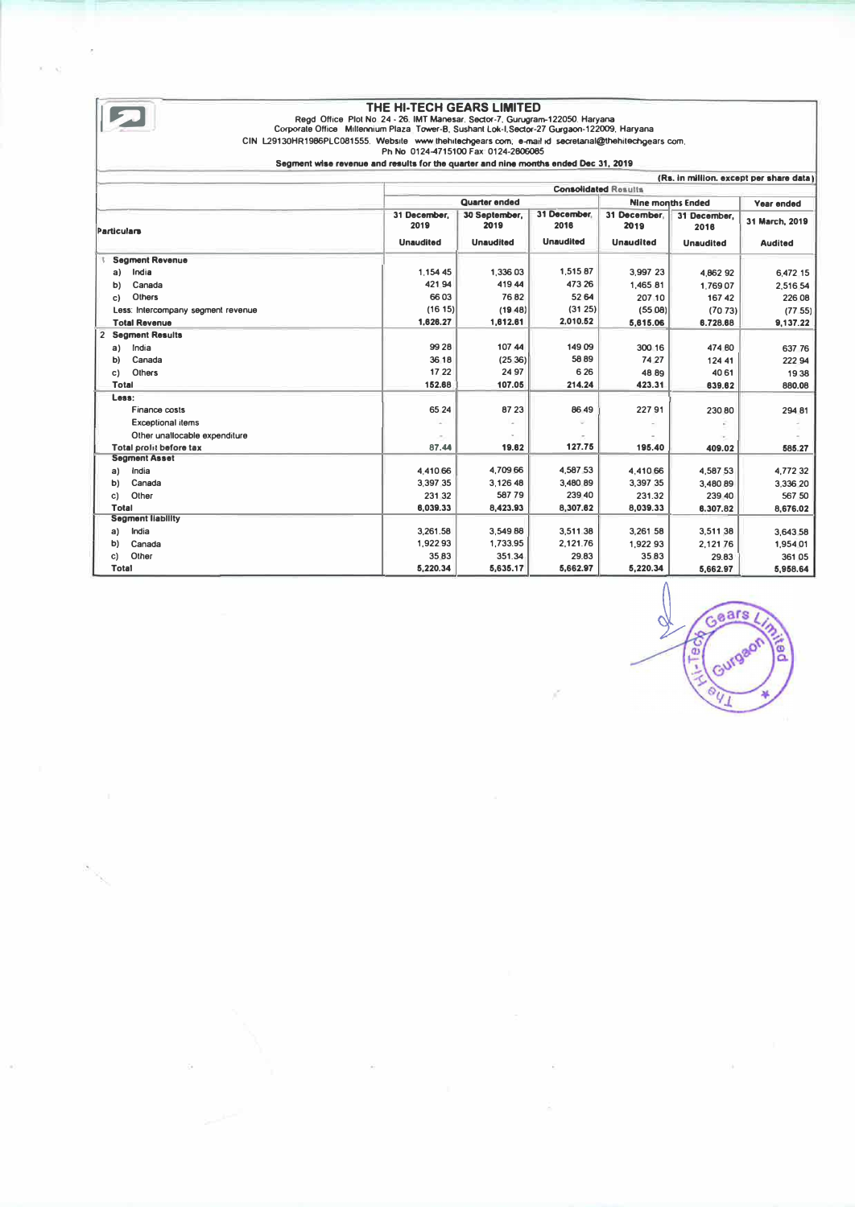| THE HI-TECH GEARS LIMITED<br>Read Office Plot No. 24 - 26. IMT Manesar, Sector-7, Gurugram-122050, Haryana<br>Corporate Office Millennium Plaza, Tower-B, Sushant Lok-I, Sector-27 Gurgaon-122009, Haryana<br>CIN L29130HR1986PLC081555. Website www.thehitechgears.com; e-mail id secretarial@thehitechgears.com;<br>Ph No 0124-4715100 Fax: 0124-2806085 |                                                                                      |                       |                      |                      |                          |                                     |  |
|------------------------------------------------------------------------------------------------------------------------------------------------------------------------------------------------------------------------------------------------------------------------------------------------------------------------------------------------------------|--------------------------------------------------------------------------------------|-----------------------|----------------------|----------------------|--------------------------|-------------------------------------|--|
|                                                                                                                                                                                                                                                                                                                                                            | Segment wise revenue and reaults for the quarter and nine months ended Dec. 31, 2019 |                       |                      |                      |                          |                                     |  |
|                                                                                                                                                                                                                                                                                                                                                            | (Rs. in million, except per share data)<br><b>Consolidated Rosults</b>               |                       |                      |                      |                          |                                     |  |
|                                                                                                                                                                                                                                                                                                                                                            |                                                                                      | <b>Quarter ended</b>  |                      |                      | <b>Nine months Ended</b> |                                     |  |
| Particulars                                                                                                                                                                                                                                                                                                                                                | 31 December.<br>2019                                                                 | 30 September.<br>2019 | 31 December.<br>2016 | 31 December.<br>2019 | 31 December,<br>2016     | <b>Year ended</b><br>31 March, 2019 |  |
|                                                                                                                                                                                                                                                                                                                                                            | <b>Unaudited</b>                                                                     | <b>Unaudited</b>      | <b>Unaudited</b>     | <b>Unaudited</b>     | <b>Unaudited</b>         | <b>Audited</b>                      |  |
| <b>Segment Revenue</b>                                                                                                                                                                                                                                                                                                                                     |                                                                                      |                       |                      |                      |                          |                                     |  |
| India<br>a)                                                                                                                                                                                                                                                                                                                                                | 1.154 45                                                                             | 1.336.03              | 1,515 87             | 3.997 23             | 4.862 92                 | 6.472.15                            |  |
| Canada<br>b)                                                                                                                                                                                                                                                                                                                                               | 421.94                                                                               | 41944                 | 473 26               | 1,465 81             | 1.76907                  | 2.516.54                            |  |
| Others<br>c)                                                                                                                                                                                                                                                                                                                                               | 6603                                                                                 | 7682                  | 52 64                | 207 10               | 167 42                   | 226 08                              |  |
| Less: Intercompany segment revenue                                                                                                                                                                                                                                                                                                                         | (1615)                                                                               | (19.48)               | (31 25)              | (5508)               | (7073)                   | (77.55)                             |  |
| <b>Total Revenue</b>                                                                                                                                                                                                                                                                                                                                       | 1,626.27                                                                             | 1,612,61              | 2,010.52             | 5.615.06             | 6.728.68                 | 9.137.22                            |  |
| 2 Segment Results                                                                                                                                                                                                                                                                                                                                          |                                                                                      |                       |                      |                      |                          |                                     |  |
| India<br>a)                                                                                                                                                                                                                                                                                                                                                | 99 28                                                                                | 107 44                | 149 09               | 300 16               | 474 80                   | 637 76                              |  |
| Canada<br>b)                                                                                                                                                                                                                                                                                                                                               | 36.18                                                                                | (2536)                | 5889                 | 74 27                | 124 41                   | 222 94                              |  |
| Others<br>c)                                                                                                                                                                                                                                                                                                                                               | 17.22                                                                                | 24.97                 | 6 2 6                | 48.89                | 4061                     | 1938                                |  |
| <b>Total</b>                                                                                                                                                                                                                                                                                                                                               | 152.68                                                                               | 107.05                | 214.24               | 423.31               | 639.62                   | 880.08                              |  |
| Less:                                                                                                                                                                                                                                                                                                                                                      |                                                                                      |                       |                      |                      |                          |                                     |  |
| Finance costs                                                                                                                                                                                                                                                                                                                                              | 65 24                                                                                | 87 23                 | 86 49                | 22791                | 230.80                   | 294 81                              |  |
| <b>Exceptional items</b>                                                                                                                                                                                                                                                                                                                                   |                                                                                      |                       |                      |                      |                          |                                     |  |
| Other unallocable expenditure                                                                                                                                                                                                                                                                                                                              |                                                                                      |                       |                      |                      |                          |                                     |  |
| <b>Total prolit before tax</b>                                                                                                                                                                                                                                                                                                                             | 87.44                                                                                | 19.62                 | 127.75               | 195.40               | 409.02                   | 585.27                              |  |
| <b>Seament Asset</b>                                                                                                                                                                                                                                                                                                                                       |                                                                                      |                       |                      |                      |                          |                                     |  |
| India<br>a)                                                                                                                                                                                                                                                                                                                                                | 4,410.66                                                                             | 4.709.66              | 4,587.53             | 4.410.66             | 4.587.53                 | 4.77232                             |  |
| Canada<br>b)                                                                                                                                                                                                                                                                                                                                               | 3.397.35                                                                             | 3,126.48              | 3,480 89             | 3.397 35             | 3.480.89                 | 3.336 20                            |  |
| Other<br>C)                                                                                                                                                                                                                                                                                                                                                | 231 32                                                                               | 58779                 | 239 40               | 231.32               | 239 40                   | 567 50                              |  |
| <b>Total</b>                                                                                                                                                                                                                                                                                                                                               | 6,039,33                                                                             | 8.423.93              | 8,307.62             | 8.039.33             | 6,307.82                 | 8.676.02                            |  |
| <b>Segment liability</b>                                                                                                                                                                                                                                                                                                                                   |                                                                                      |                       |                      |                      |                          |                                     |  |
| India<br>a)                                                                                                                                                                                                                                                                                                                                                | 3.261.58                                                                             | 3.549 88              | 3.511.38             | 3.261 58             | 3.511.38                 | 3,643.58                            |  |
| Canada<br>b)                                                                                                                                                                                                                                                                                                                                               | 1,922.93                                                                             | 1.733.95              | 2,121.76             | 1,922 93             | 2.121.76                 | 1,954.01                            |  |
| Other<br>c)                                                                                                                                                                                                                                                                                                                                                | 35.83                                                                                | 351.34                | 29.83                | 35.83                | 29.83                    | 36105                               |  |
| <b>Total</b>                                                                                                                                                                                                                                                                                                                                               | 5.220.34                                                                             | 5,635.17              | 5,662.97             | 5.220.34             | 5.662.97                 | 5,958.64                            |  |

Gears ခြ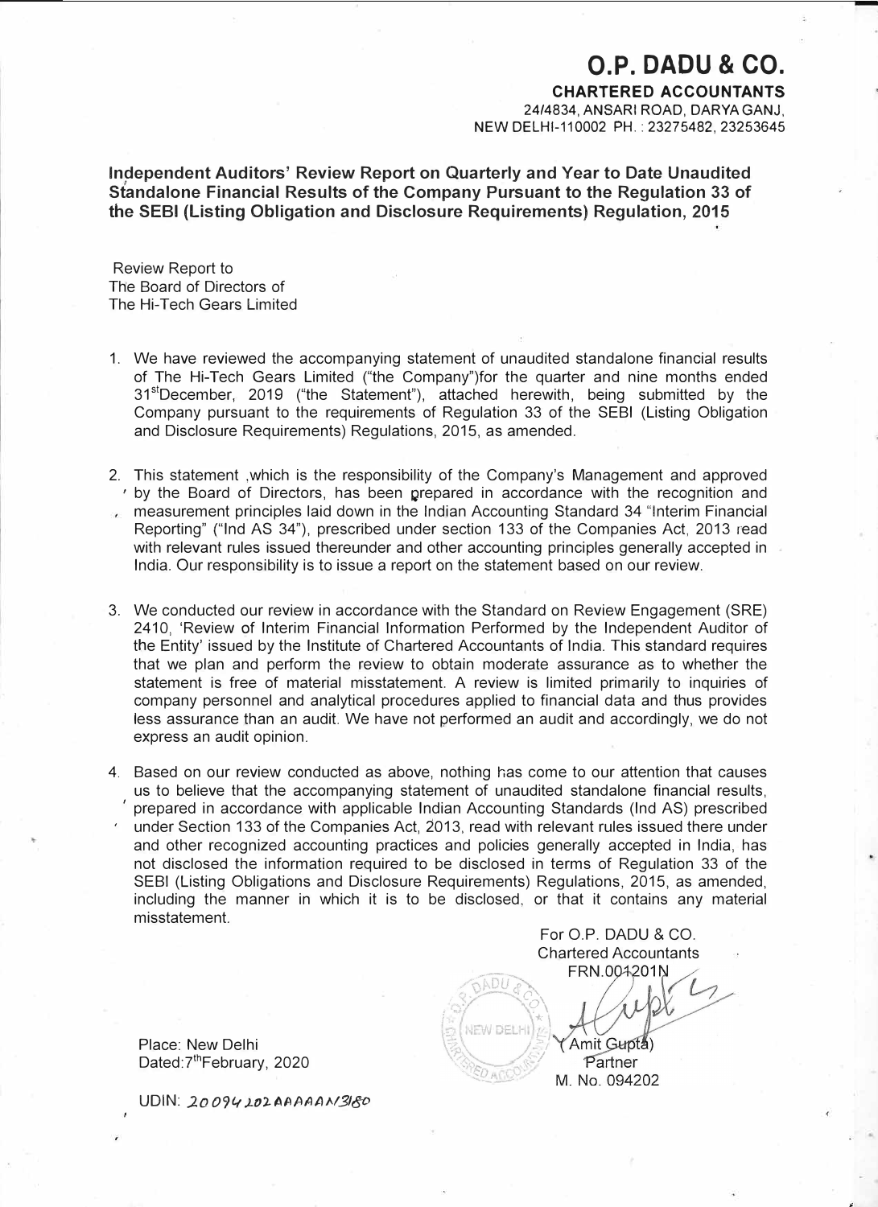## **O.P. DADU & CO.**

**CHARTERED ACCOUNTANTS**  24/4834, ANSARI ROAD, DARYA GANJ, NEW DELHl-110002 PH.: 23275482, 23253645

**Independent Auditors' Review Report on Quarterly and Year to Date Unaudited Standalone Financial Results of the Company Pursuant to the Regulation 33 of the SEBI (Listing Obligation and Disclosure Requirements) Regulation, 2015** 

Review Report to The Board of Directors of The Hi-Tech Gears Limited

- 1. We have reviewed the accompanying statement of unaudited standalone financial results of The Hi-Tech Gears Limited ("the Company")for the quarter and nine months ended 31stDecember, 2019 ("the Statement"), attached herewith, being submitted by the Company pursuant to the requirements of Regulation 33 of the SEBI (Listing Obligation and Disclosure Requirements) Regulations, 2015, as amended.
- 2. This statement ,which is the responsibility of the Company's Management and approved ' by the Board of Directors, has been prepared in accordance with the recognition and measurement principles laid down in the Indian Accounting Standard 34 "Interim Financial  $\mathcal{L}$ Reporting" {"Ind AS 34"), prescribed under section 133 of the Companies Act, 2013 read with relevant rules issued thereunder and other accounting principles generally accepted in India. Our responsibility is to issue a report on the statement based on our review.
- 3. We conducted our review in accordance with the Standard on Review Engagement (SRE) 2410, 'Review of Interim Financial Information Performed by the Independent Auditor of the Entity' issued by the Institute of Chartered Accountants of India. This standard requires that we plan and perform the review to obtain moderate assurance as to whether the statement is free of material misstatement. A review is limited primarily to inquiries of company personnel and analytical procedures applied to financial data and thus provides less assurance than an audit. We have not performed an audit and accordingly, we do not express an audit opinion.
- 4. Based on our review conducted as above, nothing has come to our attention that causes us to believe that the accompanying statement of unaudited standalone financial results, ' prepared in accordance with applicable Indian Accounting Standards (Ind AS) prescribed under Section 133 of the Companies Act, 2013, read with relevant rules issued there under and other recognized accounting practices and policies generally accepted in India, has not disclosed the information required to be disclosed in terms of Regulation 33 of the SEBI (Listing Obligations and Disclosure Requirements) Regulations, 2015, as amended, including the manner in which it is to be disclosed, or that it contains any material misstatement.

|<br>|<br>|-

For O.P. DADU & CO. Chartered Accountants FRN.004201N

Amit Gupta) Partner M. No. 094202

*c "-· o'* 

*IEW DELH* 

ADU

**DAGC** 

 $\star$  \

-./ '/

Place: New Delhi Dated: 7<sup>th</sup>February, 2020

**UDIN:** *.20 094 )..O'). t,AflAAN.3180*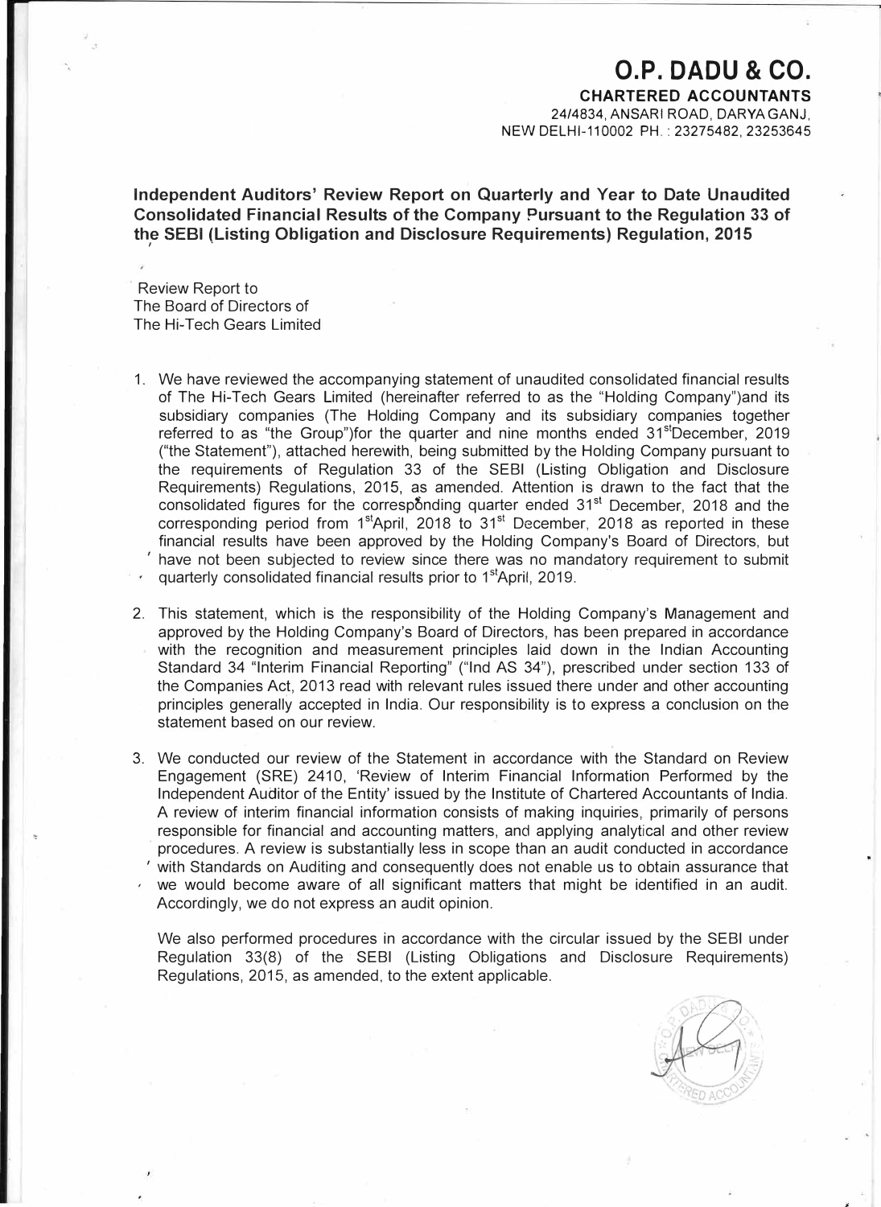## **O.P. DADU & CO.**

**CHARTERED ACCOUNTANTS**  24/4834, ANSARI ROAD, DARYAGANJ,

NEW DELHl-110002 PH.: 23275482, 23253645

**Independent Auditors' Review Report on Quarterly and Year to Date Unaudited Consolidated Financial Results of the Company Pursuant to the Regulation 33 of the SEBI (Listing Obligation and Disclosure Requirements) Regulation, 2015**  *I* 

Review Report to The Board of Directors of The Hi-Tech Gears Limited

- 1. We have reviewed the accompanying statement of unaudited consolidated financial results of The Hi-Tech Gears Limited (hereinafter referred to as the "Holding Company")and its subsidiary companies (The Holding Company and its subsidiary companies together referred to as "the Group")for the quarter and nine months ended  $31<sup>st</sup>$ December, 2019 ("the Statement"), attached herewith, being submitted by the Holding Company pursuant to the requirements of Regulation 33 of the SEBI (Listing Obligation and Disclosure Requirements) Regulations, 2015, as amended. Attention is drawn to the fact that the consolidated figures for the corresponding quarter ended 31<sup>st</sup> December, 2018 and the corresponding period from  $1<sup>st</sup>$ April, 2018 to  $31<sup>st</sup>$  December, 2018 as reported in these financial results have been approved by the Holding Company's Board of Directors, but  $'$  have not been subjected to review since there was no mandatory requirement to submit quarterly consolidated financial results prior to 1<sup>st</sup>April, 2019.
- 2. This statement, which is the responsibility of the Holding Company's Management and approved by the Holding Company's Board of Directors, has been prepared in accordance with the recognition and measurement principles laid down in the Indian Accounting Standard 34 "Interim Financial Reporting" ("Ind AS 34"), prescribed under section 133 of the Companies Act, 2013 read with relevant rules issued there under and other accounting principles generally accepted in India. Our responsibility is to express a conclusion on the statement based on our review.
- 3. We conducted our review of the Statement in accordance with the Standard on Review Engagement (SRE) 2410, 'Review of Interim Financial Information Performed by the Independent Auditor of the Entity' issued by the Institute of Chartered Accountants of India. A review of interim financial information consists of making inquiries, primarily of persons responsible for financial and accounting matters, and applying analytical and other review · procedures. A review is substantially less in scope than an audit conducted in accordance ' with Standards on Auditing and consequently does not enable us to obtain assurance that we would become aware of all significant matters that might be identified in an audit. Accordingly, we do not express an audit opinion.

We also performed procedures in accordance with the circular issued by the SEBI under Regulation 33(8) of the · SEBI (Listing Obligations and Disclosure Requirements) Regulations, 2015, as amended, to the extent applicable.